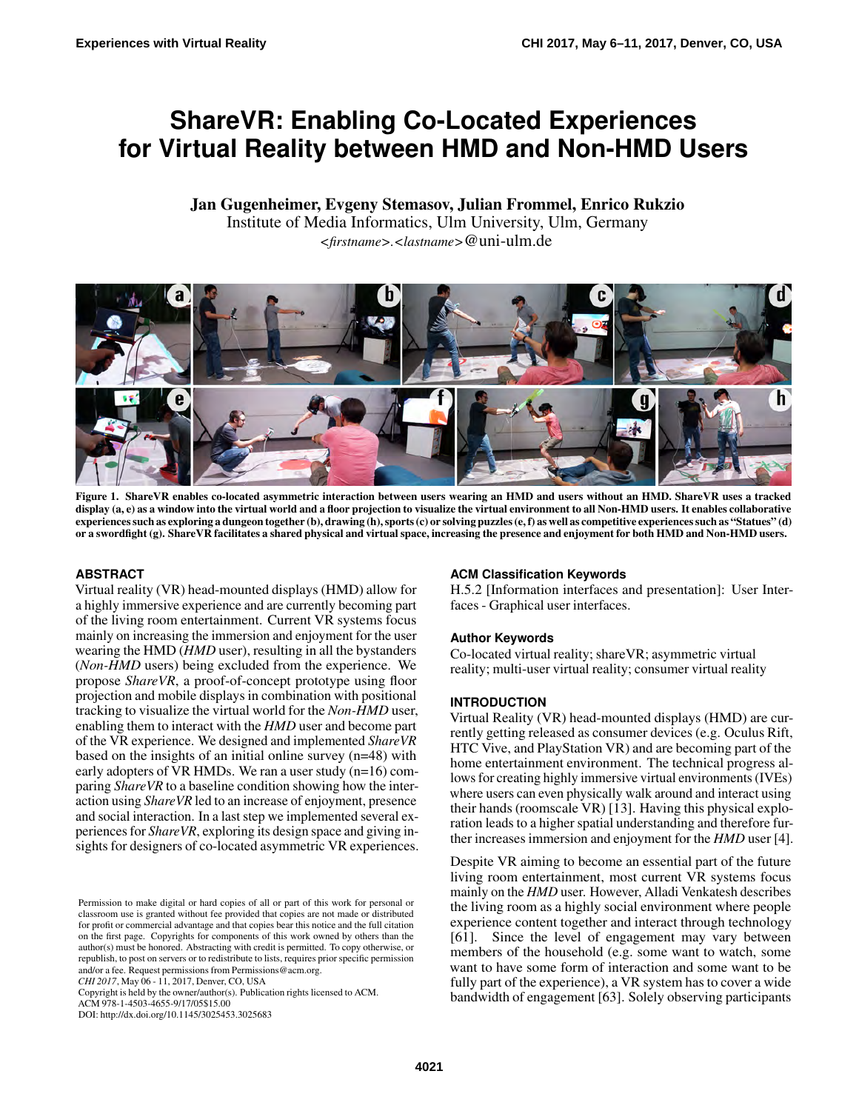# **ShareVR: Enabling Co-Located Experiences for Virtual Reality between HMD and Non-HMD Users**

## Jan Gugenheimer, Evgeny Stemasov, Julian Frommel, Enrico Rukzio

Institute of Media Informatics, Ulm University, Ulm, Germany *<firstname>.<lastname>*@uni-ulm.de



Figure 1. ShareVR enables co-located asymmetric interaction between users wearing an HMD and users without an HMD. ShareVR uses a tracked display (a, e) as a window into the virtual world and a floor projection to visualize the virtual environment to all Non-HMD users. It enables collaborative experiences such as exploring a dungeon together (b), drawing (h), sports (c) or solving puzzles (e, f) as well as competitive experiences such as "Statues" (d) or a swordfight (g). ShareVR facilitates a shared physical and virtual space, increasing the presence and enjoyment for both HMD and Non-HMD users.

#### <span id="page-0-0"></span>**ABSTRACT**

Virtual reality (VR) head-mounted displays (HMD) allow for a highly immersive experience and are currently becoming part of the living room entertainment. Current VR systems focus mainly on increasing the immersion and enjoyment for the user wearing the HMD (*HMD* user), resulting in all the bystanders (*Non-HMD* users) being excluded from the experience. We propose *ShareVR*, a proof-of-concept prototype using floor projection and mobile displays in combination with positional tracking to visualize the virtual world for the *Non-HMD* user, enabling them to interact with the *HMD* user and become part of the VR experience. We designed and implemented *ShareVR* based on the insights of an initial online survey (n=48) with early adopters of VR HMDs. We ran a user study (n=16) comparing *ShareVR* to a baseline condition showing how the interaction using *ShareVR* led to an increase of enjoyment, presence and social interaction. In a last step we implemented several experiences for *ShareVR*, exploring its design space and giving insights for designers of co-located asymmetric VR experiences.

*CHI 2017*, May 06 - 11, 2017, Denver, CO, USA

Copyright is held by the owner/author(s). Publication rights licensed to ACM.

ACM 978-1-4503-4655-9/17/05\$15.00

DOI: http://dx.doi.org/10.1145/3025453.3025683

## **ACM Classification Keywords**

H.5.2 [Information interfaces and presentation]: User Interfaces - Graphical user interfaces.

#### **Author Keywords**

Co-located virtual reality; shareVR; asymmetric virtual reality; multi-user virtual reality; consumer virtual reality

#### **INTRODUCTION**

Virtual Reality (VR) head-mounted displays (HMD) are currently getting released as consumer devices (e.g. Oculus Rift, HTC Vive, and PlayStation VR) and are becoming part of the home entertainment environment. The technical progress allows for creating highly immersive virtual environments (IVEs) where users can even physically walk around and interact using their hands (roomscale VR) [\[13\]](#page-10-0). Having this physical exploration leads to a higher spatial understanding and therefore further increases immersion and enjoyment for the *HMD* user [\[4\]](#page-10-1).

Despite VR aiming to become an essential part of the future living room entertainment, most current VR systems focus mainly on the *HMD* user. However, Alladi Venkatesh describes the living room as a highly social environment where people experience content together and interact through technology [\[61\]](#page-12-0). Since the level of engagement may vary between members of the household (e.g. some want to watch, some want to have some form of interaction and some want to be fully part of the experience), a VR system has to cover a wide bandwidth of engagement [\[63\]](#page-12-1). Solely observing participants

Permission to make digital or hard copies of all or part of this work for personal or classroom use is granted without fee provided that copies are not made or distributed for profit or commercial advantage and that copies bear this notice and the full citation on the first page. Copyrights for components of this work owned by others than the author(s) must be honored. Abstracting with credit is permitted. To copy otherwise, or republish, to post on servers or to redistribute to lists, requires prior specific permission and/or a fee. Request permissions from Permissions@acm.org.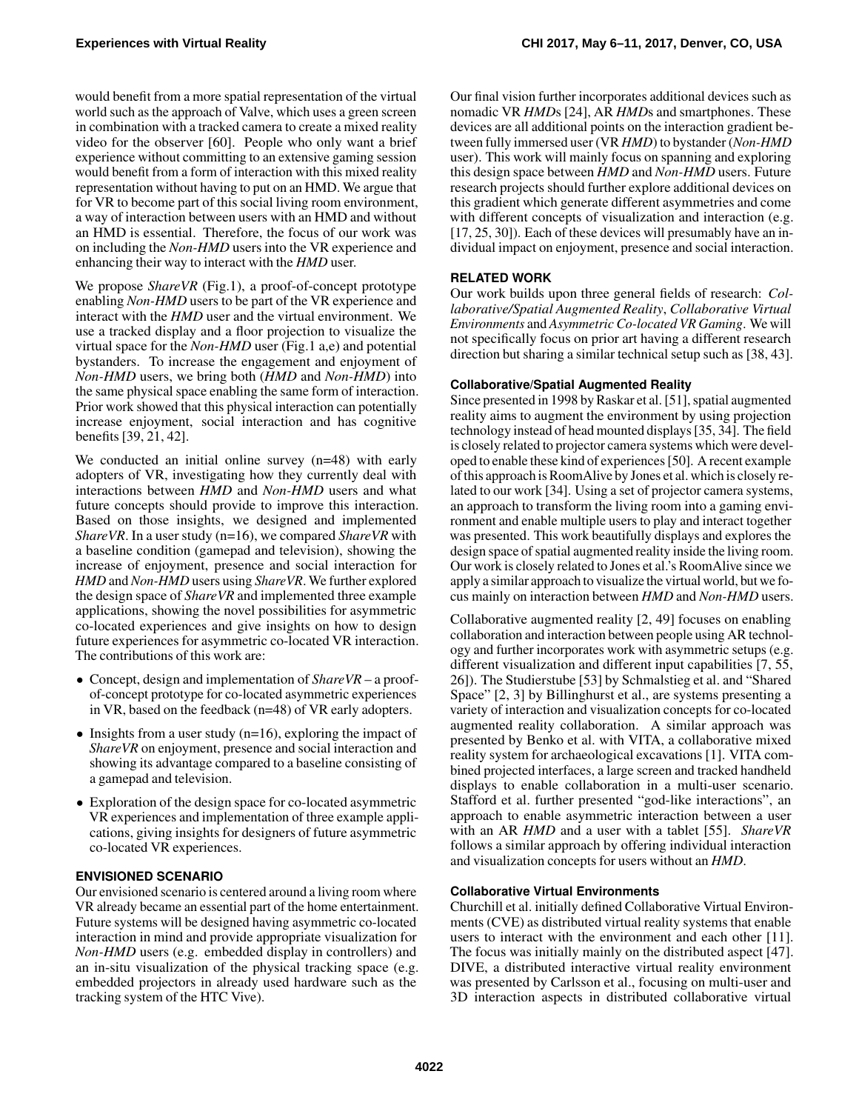would benefit from a more spatial representation of the virtual world such as the approach of Valve, which uses a green screen in combination with a tracked camera to create a mixed reality video for the observer [\[60\]](#page-12-2). People who only want a brief experience without committing to an extensive gaming session would benefit from a form of interaction with this mixed reality representation without having to put on an HMD. We argue that for VR to become part of this social living room environment, a way of interaction between users with an HMD and without an HMD is essential. Therefore, the focus of our work was on including the *Non-HMD* users into the VR experience and enhancing their way to interact with the *HMD* user.

We propose *ShareVR* (Fig[.1\)](#page-0-0), a proof-of-concept prototype enabling *Non-HMD* users to be part of the VR experience and interact with the *HMD* user and the virtual environment. We use a tracked display and a floor projection to visualize the virtual space for the *Non-HMD* user (Fig[.1](#page-0-0) a,e) and potential bystanders. To increase the engagement and enjoyment of *Non-HMD* users, we bring both (*HMD* and *Non-HMD*) into the same physical space enabling the same form of interaction. Prior work showed that this physical interaction can potentially increase enjoyment, social interaction and has cognitive benefits [\[39,](#page-11-0) [21,](#page-10-2) [42\]](#page-11-1).

We conducted an initial online survey (n=48) with early adopters of VR, investigating how they currently deal with interactions between *HMD* and *Non-HMD* users and what future concepts should provide to improve this interaction. Based on those insights, we designed and implemented *ShareVR*. In a user study (n=16), we compared *ShareVR* with a baseline condition (gamepad and television), showing the increase of enjoyment, presence and social interaction for *HMD* and *Non-HMD* users using *ShareVR*. We further explored the design space of *ShareVR* and implemented three example applications, showing the novel possibilities for asymmetric co-located experiences and give insights on how to design future experiences for asymmetric co-located VR interaction. The contributions of this work are:

- Concept, design and implementation of *ShareVR* a proofof-concept prototype for co-located asymmetric experiences in VR, based on the feedback (n=48) of VR early adopters.
- Insights from a user study  $(n=16)$ , exploring the impact of *ShareVR* on enjoyment, presence and social interaction and showing its advantage compared to a baseline consisting of a gamepad and television.
- Exploration of the design space for co-located asymmetric VR experiences and implementation of three example applications, giving insights for designers of future asymmetric co-located VR experiences.

## **ENVISIONED SCENARIO**

Our envisioned scenario is centered around a living room where VR already became an essential part of the home entertainment. Future systems will be designed having asymmetric co-located interaction in mind and provide appropriate visualization for *Non-HMD* users (e.g. embedded display in controllers) and an in-situ visualization of the physical tracking space (e.g. embedded projectors in already used hardware such as the tracking system of the HTC Vive).

Our final vision further incorporates additional devices such as nomadic VR *HMD*s [\[24\]](#page-10-3), AR *HMD*s and smartphones. These devices are all additional points on the interaction gradient between fully immersed user (VR *HMD*) to bystander (*Non-HMD* user). This work will mainly focus on spanning and exploring this design space between *HMD* and *Non-HMD* users. Future research projects should further explore additional devices on this gradient which generate different asymmetries and come with different concepts of visualization and interaction (e.g. [\[17,](#page-10-4) [25,](#page-11-2) [30\]](#page-11-3)). Each of these devices will presumably have an individual impact on enjoyment, presence and social interaction.

## **RELATED WORK**

Our work builds upon three general fields of research: *Collaborative/Spatial Augmented Reality*, *Collaborative Virtual Environments* and *Asymmetric Co-located VR Gaming*. We will not specifically focus on prior art having a different research direction but sharing a similar technical setup such as [\[38,](#page-11-4) [43\]](#page-11-5).

## **Collaborative/Spatial Augmented Reality**

Since presented in 1998 by Raskar et al. [\[51\]](#page-12-3), spatial augmented reality aims to augment the environment by using projection technology instead of head mounted displays [\[35,](#page-11-6) [34\]](#page-11-7). The field is closely related to projector camera systems which were developed to enable these kind of experiences [\[50\]](#page-12-4). A recent example of this approach is RoomAlive by Jones et al. which is closely related to our work [\[34\]](#page-11-7). Using a set of projector camera systems, an approach to transform the living room into a gaming environment and enable multiple users to play and interact together was presented. This work beautifully displays and explores the design space of spatial augmented reality inside the living room. Our work is closely related to Jones et al.'s RoomAlive since we apply a similar approach to visualize the virtual world, but we focus mainly on interaction between *HMD* and *Non-HMD* users.

Collaborative augmented reality [\[2,](#page-10-5) [49\]](#page-12-5) focuses on enabling collaboration and interaction between people using AR technology and further incorporates work with asymmetric setups (e.g. different visualization and different input capabilities [\[7,](#page-10-6) [55,](#page-12-6) [26\]](#page-11-8)). The Studierstube [\[53\]](#page-12-7) by Schmalstieg et al. and "Shared Space" [\[2,](#page-10-5) [3\]](#page-10-7) by Billinghurst et al., are systems presenting a variety of interaction and visualization concepts for co-located augmented reality collaboration. A similar approach was presented by Benko et al. with VITA, a collaborative mixed reality system for archaeological excavations [\[1\]](#page-9-0). VITA combined projected interfaces, a large screen and tracked handheld displays to enable collaboration in a multi-user scenario. Stafford et al. further presented "god-like interactions", an approach to enable asymmetric interaction between a user with an AR *HMD* and a user with a tablet [\[55\]](#page-12-6). *ShareVR* follows a similar approach by offering individual interaction and visualization concepts for users without an *HMD*.

## **Collaborative Virtual Environments**

Churchill et al. initially defined Collaborative Virtual Environments (CVE) as distributed virtual reality systems that enable users to interact with the environment and each other [\[11\]](#page-10-8). The focus was initially mainly on the distributed aspect [\[47\]](#page-12-8). DIVE, a distributed interactive virtual reality environment was presented by Carlsson et al., focusing on multi-user and 3D interaction aspects in distributed collaborative virtual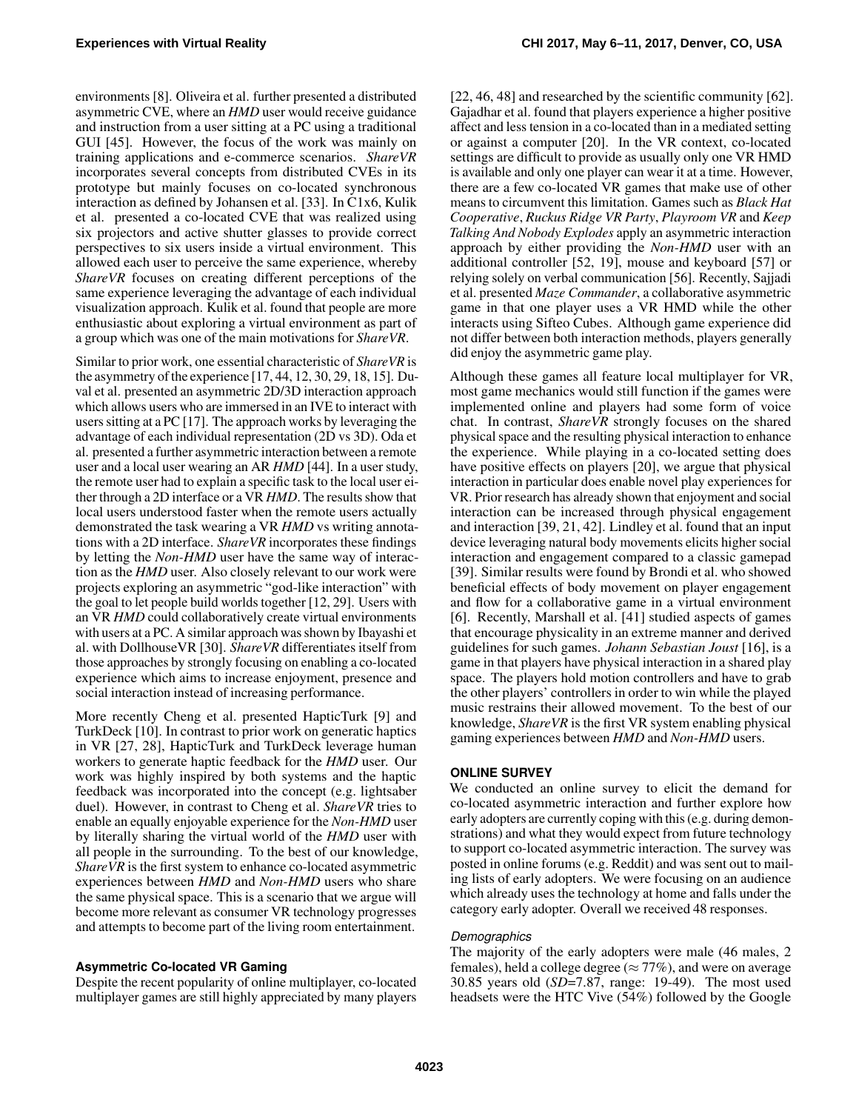environments [\[8\]](#page-10-9). Oliveira et al. further presented a distributed asymmetric CVE, where an *HMD* user would receive guidance and instruction from a user sitting at a PC using a traditional GUI [\[45\]](#page-12-9). However, the focus of the work was mainly on training applications and e-commerce scenarios. *ShareVR* incorporates several concepts from distributed CVEs in its prototype but mainly focuses on co-located synchronous interaction as defined by Johansen et al. [\[33\]](#page-11-9). In C1x6, Kulik et al. presented a co-located CVE that was realized using six projectors and active shutter glasses to provide correct perspectives to six users inside a virtual environment. This allowed each user to perceive the same experience, whereby *ShareVR* focuses on creating different perceptions of the same experience leveraging the advantage of each individual visualization approach. Kulik et al. found that people are more enthusiastic about exploring a virtual environment as part of a group which was one of the main motivations for *ShareVR*.

Similar to prior work, one essential characteristic of *ShareVR* is the asymmetry of the experience [\[17,](#page-10-4) [44,](#page-11-10) [12,](#page-10-10) [30,](#page-11-3) [29,](#page-11-11) [18,](#page-10-11) [15\]](#page-10-12). Duval et al. presented an asymmetric 2D/3D interaction approach which allows users who are immersed in an IVE to interact with users sitting at a PC [\[17\]](#page-10-4). The approach works by leveraging the advantage of each individual representation (2D vs 3D). Oda et al. presented a further asymmetric interaction between a remote user and a local user wearing an AR *HMD* [\[44\]](#page-11-10). In a user study, the remote user had to explain a specific task to the local user either through a 2D interface or a VR *HMD*. The results show that local users understood faster when the remote users actually demonstrated the task wearing a VR *HMD* vs writing annotations with a 2D interface. *ShareVR* incorporates these findings by letting the *Non-HMD* user have the same way of interaction as the *HMD* user. Also closely relevant to our work were projects exploring an asymmetric "god-like interaction" with the goal to let people build worlds together [\[12,](#page-10-10) [29\]](#page-11-11). Users with an VR *HMD* could collaboratively create virtual environments with users at a PC. A similar approach was shown by Ibayashi et al. with DollhouseVR [\[30\]](#page-11-3). *ShareVR* differentiates itself from those approaches by strongly focusing on enabling a co-located experience which aims to increase enjoyment, presence and social interaction instead of increasing performance.

More recently Cheng et al. presented HapticTurk [\[9\]](#page-10-13) and TurkDeck [\[10\]](#page-10-14). In contrast to prior work on generatic haptics in VR [\[27,](#page-11-12) [28\]](#page-11-13), HapticTurk and TurkDeck leverage human workers to generate haptic feedback for the *HMD* user. Our work was highly inspired by both systems and the haptic feedback was incorporated into the concept (e.g. lightsaber duel). However, in contrast to Cheng et al. *ShareVR* tries to enable an equally enjoyable experience for the *Non-HMD* user by literally sharing the virtual world of the *HMD* user with all people in the surrounding. To the best of our knowledge, *ShareVR* is the first system to enhance co-located asymmetric experiences between *HMD* and *Non-HMD* users who share the same physical space. This is a scenario that we argue will become more relevant as consumer VR technology progresses and attempts to become part of the living room entertainment.

## **Asymmetric Co-located VR Gaming**

Despite the recent popularity of online multiplayer, co-located multiplayer games are still highly appreciated by many players [\[22,](#page-10-15) [46,](#page-12-10) [48\]](#page-12-11) and researched by the scientific community [\[62\]](#page-12-12). Gajadhar et al. found that players experience a higher positive affect and less tension in a co-located than in a mediated setting or against a computer [\[20\]](#page-10-16). In the VR context, co-located settings are difficult to provide as usually only one VR HMD is available and only one player can wear it at a time. However, there are a few co-located VR games that make use of other means to circumvent this limitation. Games such as *Black Hat Cooperative*, *Ruckus Ridge VR Party*, *Playroom VR* and *Keep Talking And Nobody Explodes* apply an asymmetric interaction approach by either providing the *Non-HMD* user with an additional controller [\[52,](#page-12-13) [19\]](#page-10-17), mouse and keyboard [\[57\]](#page-12-14) or relying solely on verbal communication [\[56\]](#page-12-15). Recently, Sajjadi et al. presented *Maze Commander*, a collaborative asymmetric game in that one player uses a VR HMD while the other interacts using Sifteo Cubes. Although game experience did not differ between both interaction methods, players generally did enjoy the asymmetric game play.

Although these games all feature local multiplayer for VR, most game mechanics would still function if the games were implemented online and players had some form of voice chat. In contrast, *ShareVR* strongly focuses on the shared physical space and the resulting physical interaction to enhance the experience. While playing in a co-located setting does have positive effects on players [\[20\]](#page-10-16), we argue that physical interaction in particular does enable novel play experiences for VR. Prior research has already shown that enjoyment and social interaction can be increased through physical engagement and interaction [\[39,](#page-11-0) [21,](#page-10-2) [42\]](#page-11-1). Lindley et al. found that an input device leveraging natural body movements elicits higher social interaction and engagement compared to a classic gamepad [\[39\]](#page-11-0). Similar results were found by Brondi et al. who showed beneficial effects of body movement on player engagement and flow for a collaborative game in a virtual environment [\[6\]](#page-10-18). Recently, Marshall et al. [\[41\]](#page-11-14) studied aspects of games that encourage physicality in an extreme manner and derived guidelines for such games. *Johann Sebastian Joust* [\[16\]](#page-10-19), is a game in that players have physical interaction in a shared play space. The players hold motion controllers and have to grab the other players' controllers in order to win while the played music restrains their allowed movement. To the best of our knowledge, *ShareVR* is the first VR system enabling physical gaming experiences between *HMD* and *Non-HMD* users.

## **ONLINE SURVEY**

We conducted an online survey to elicit the demand for co-located asymmetric interaction and further explore how early adopters are currently coping with this (e.g. during demonstrations) and what they would expect from future technology to support co-located asymmetric interaction. The survey was posted in online forums (e.g. Reddit) and was sent out to mailing lists of early adopters. We were focusing on an audience which already uses the technology at home and falls under the category early adopter. Overall we received 48 responses.

## *Demographics*

The majority of the early adopters were male (46 males, 2 females), held a college degree ( $\approx$  77%), and were on average 30.85 years old (*SD*=7.87, range: 19-49). The most used headsets were the HTC Vive (54%) followed by the Google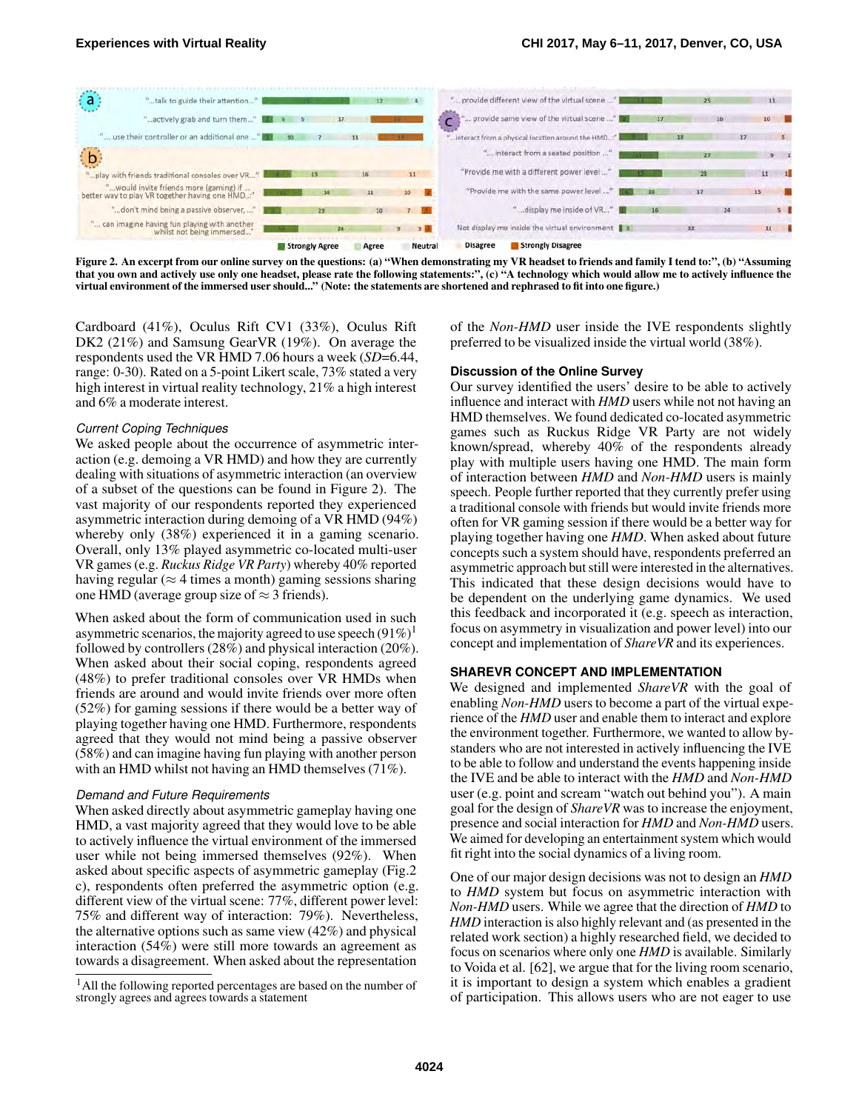

<span id="page-3-0"></span>Figure 2. An excerpt from our online survey on the questions: (a) "When demonstrating my VR headset to friends and family I tend to:", (b) "Assuming that you own and actively use only one headset, please rate the following statements:", (c) "A technology which would allow me to actively influence the virtual environment of the immersed user should..." (Note: the statements are shortened and rephrased to fit into one figure.)

Cardboard (41%), Oculus Rift CV1 (33%), Oculus Rift DK2 (21%) and Samsung GearVR (19%). On average the respondents used the VR HMD 7.06 hours a week (*SD*=6.44, range: 0-30). Rated on a 5-point Likert scale, 73% stated a very high interest in virtual reality technology, 21% a high interest and 6% a moderate interest.

#### *Current Coping Techniques*

We asked people about the occurrence of asymmetric interaction (e.g. demoing a VR HMD) and how they are currently dealing with situations of asymmetric interaction (an overview of a subset of the questions can be found in Figure [2\)](#page-3-0). The vast majority of our respondents reported they experienced asymmetric interaction during demoing of a VR HMD (94%) whereby only (38%) experienced it in a gaming scenario. Overall, only 13% played asymmetric co-located multi-user VR games (e.g. *Ruckus Ridge VR Party*) whereby 40% reported having regular ( $\approx$  4 times a month) gaming sessions sharing one HMD (average group size of  $\approx$  3 friends).

When asked about the form of communication used in such asymmetric scenarios, the majority agreed to use speech  $(91\%)^1$  $(91\%)^1$  $(91\%)^1$ followed by controllers (28%) and physical interaction (20%). When asked about their social coping, respondents agreed (48%) to prefer traditional consoles over VR HMDs when friends are around and would invite friends over more often (52%) for gaming sessions if there would be a better way of playing together having one HMD. Furthermore, respondents agreed that they would not mind being a passive observer (58%) and can imagine having fun playing with another person with an HMD whilst not having an HMD themselves (71%).

#### *Demand and Future Requirements*

When asked directly about asymmetric gameplay having one HMD, a vast majority agreed that they would love to be able to actively influence the virtual environment of the immersed user while not being immersed themselves (92%). When asked about specific aspects of asymmetric gameplay (Fig[.2](#page-3-0) c), respondents often preferred the asymmetric option (e.g. different view of the virtual scene: 77%, different power level: 75% and different way of interaction: 79%). Nevertheless, the alternative options such as same view (42%) and physical interaction (54%) were still more towards an agreement as towards a disagreement. When asked about the representation

of the *Non-HMD* user inside the IVE respondents slightly preferred to be visualized inside the virtual world (38%).

#### **Discussion of the Online Survey**

Our survey identified the users' desire to be able to actively influence and interact with *HMD* users while not not having an HMD themselves. We found dedicated co-located asymmetric games such as Ruckus Ridge VR Party are not widely known/spread, whereby 40% of the respondents already play with multiple users having one HMD. The main form of interaction between *HMD* and *Non-HMD* users is mainly speech. People further reported that they currently prefer using a traditional console with friends but would invite friends more often for VR gaming session if there would be a better way for playing together having one *HMD*. When asked about future concepts such a system should have, respondents preferred an asymmetric approach but still were interested in the alternatives. This indicated that these design decisions would have to be dependent on the underlying game dynamics. We used this feedback and incorporated it (e.g. speech as interaction, focus on asymmetry in visualization and power level) into our concept and implementation of *ShareVR* and its experiences.

## **SHAREVR CONCEPT AND IMPLEMENTATION**

We designed and implemented *ShareVR* with the goal of enabling *Non-HMD* users to become a part of the virtual experience of the *HMD* user and enable them to interact and explore the environment together. Furthermore, we wanted to allow bystanders who are not interested in actively influencing the IVE to be able to follow and understand the events happening inside the IVE and be able to interact with the *HMD* and *Non-HMD* user (e.g. point and scream "watch out behind you"). A main goal for the design of *ShareVR* was to increase the enjoyment, presence and social interaction for *HMD* and *Non-HMD* users. We aimed for developing an entertainment system which would fit right into the social dynamics of a living room.

One of our major design decisions was not to design an *HMD* to *HMD* system but focus on asymmetric interaction with *Non-HMD* users. While we agree that the direction of *HMD* to *HMD* interaction is also highly relevant and (as presented in the related work section) a highly researched field, we decided to focus on scenarios where only one *HMD* is available. Similarly to Voida et al. [\[62\]](#page-12-12), we argue that for the living room scenario, it is important to design a system which enables a gradient of participation. This allows users who are not eager to use

<span id="page-3-1"></span><sup>1</sup>All the following reported percentages are based on the number of strongly agrees and agrees towards a statement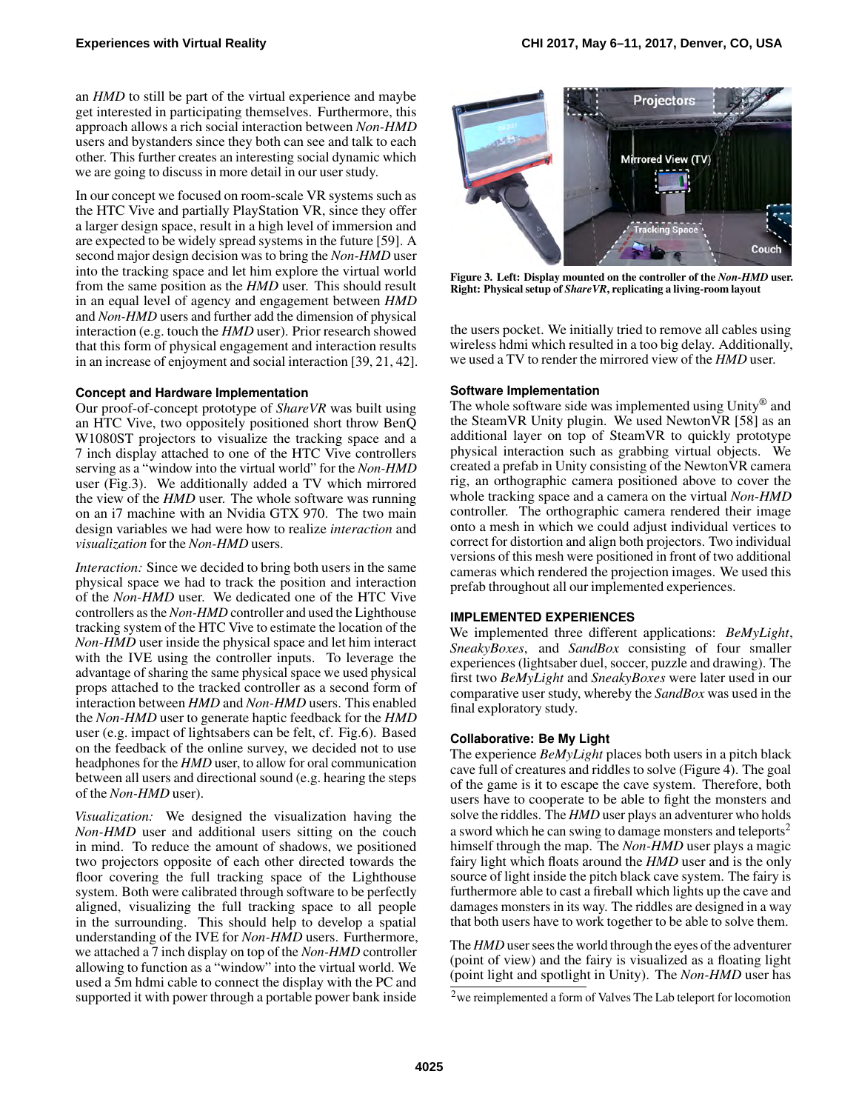an *HMD* to still be part of the virtual experience and maybe get interested in participating themselves. Furthermore, this approach allows a rich social interaction between *Non-HMD* users and bystanders since they both can see and talk to each other. This further creates an interesting social dynamic which we are going to discuss in more detail in our user study.

In our concept we focused on room-scale VR systems such as the HTC Vive and partially PlayStation VR, since they offer a larger design space, result in a high level of immersion and are expected to be widely spread systems in the future [\[59\]](#page-12-16). A second major design decision was to bring the *Non-HMD* user into the tracking space and let him explore the virtual world from the same position as the *HMD* user. This should result in an equal level of agency and engagement between *HMD* and *Non-HMD* users and further add the dimension of physical interaction (e.g. touch the *HMD* user). Prior research showed that this form of physical engagement and interaction results in an increase of enjoyment and social interaction [\[39,](#page-11-0) [21,](#page-10-2) [42\]](#page-11-1).

## **Concept and Hardware Implementation**

Our proof-of-concept prototype of *ShareVR* was built using an HTC Vive, two oppositely positioned short throw BenQ W1080ST projectors to visualize the tracking space and a 7 inch display attached to one of the HTC Vive controllers serving as a "window into the virtual world" for the *Non-HMD* user (Fig[.3\)](#page-4-0). We additionally added a TV which mirrored the view of the *HMD* user. The whole software was running on an i7 machine with an Nvidia GTX 970. The two main design variables we had were how to realize *interaction* and *visualization* for the *Non-HMD* users.

*Interaction:* Since we decided to bring both users in the same physical space we had to track the position and interaction of the *Non-HMD* user. We dedicated one of the HTC Vive controllers as the *Non-HMD* controller and used the Lighthouse tracking system of the HTC Vive to estimate the location of the *Non-HMD* user inside the physical space and let him interact with the IVE using the controller inputs. To leverage the advantage of sharing the same physical space we used physical props attached to the tracked controller as a second form of interaction between *HMD* and *Non-HMD* users. This enabled the *Non-HMD* user to generate haptic feedback for the *HMD* user (e.g. impact of lightsabers can be felt, cf. Fig[.6\)](#page-6-0). Based on the feedback of the online survey, we decided not to use headphones for the *HMD* user, to allow for oral communication between all users and directional sound (e.g. hearing the steps of the *Non-HMD* user).

*Visualization:* We designed the visualization having the *Non-HMD* user and additional users sitting on the couch in mind. To reduce the amount of shadows, we positioned two projectors opposite of each other directed towards the floor covering the full tracking space of the Lighthouse system. Both were calibrated through software to be perfectly aligned, visualizing the full tracking space to all people in the surrounding. This should help to develop a spatial understanding of the IVE for *Non-HMD* users. Furthermore, we attached a 7 inch display on top of the *Non-HMD* controller allowing to function as a "window" into the virtual world. We used a 5m hdmi cable to connect the display with the PC and supported it with power through a portable power bank inside



Figure 3. Left: Display mounted on the controller of the *Non-HMD* user. Right: Physical setup of *ShareVR*, replicating a living-room layout

<span id="page-4-0"></span>the users pocket. We initially tried to remove all cables using wireless hdmi which resulted in a too big delay. Additionally, we used a TV to render the mirrored view of the *HMD* user.

## **Software Implementation**

The whole software side was implemented using Unity® and the SteamVR Unity plugin. We used NewtonVR [\[58\]](#page-12-17) as an additional layer on top of SteamVR to quickly prototype physical interaction such as grabbing virtual objects. We created a prefab in Unity consisting of the NewtonVR camera rig, an orthographic camera positioned above to cover the whole tracking space and a camera on the virtual *Non-HMD* controller. The orthographic camera rendered their image onto a mesh in which we could adjust individual vertices to correct for distortion and align both projectors. Two individual versions of this mesh were positioned in front of two additional cameras which rendered the projection images. We used this prefab throughout all our implemented experiences.

## **IMPLEMENTED EXPERIENCES**

We implemented three different applications: *BeMyLight*, *SneakyBoxes*, and *SandBox* consisting of four smaller experiences (lightsaber duel, soccer, puzzle and drawing). The first two *BeMyLight* and *SneakyBoxes* were later used in our comparative user study, whereby the *SandBox* was used in the final exploratory study.

## **Collaborative: Be My Light**

The experience *BeMyLight* places both users in a pitch black cave full of creatures and riddles to solve (Figure [4\)](#page-5-0). The goal of the game is it to escape the cave system. Therefore, both users have to cooperate to be able to fight the monsters and solve the riddles. The *HMD* user plays an adventurer who holds a sword which he can swing to damage monsters and teleports<sup>[2](#page-4-1)</sup> himself through the map. The *Non-HMD* user plays a magic fairy light which floats around the *HMD* user and is the only source of light inside the pitch black cave system. The fairy is furthermore able to cast a fireball which lights up the cave and damages monsters in its way. The riddles are designed in a way that both users have to work together to be able to solve them.

The *HMD* user sees the world through the eyes of the adventurer (point of view) and the fairy is visualized as a floating light (point light and spotlight in Unity). The *Non-HMD* user has

<span id="page-4-1"></span><sup>&</sup>lt;sup>2</sup>we reimplemented a form of Valves The Lab teleport for locomotion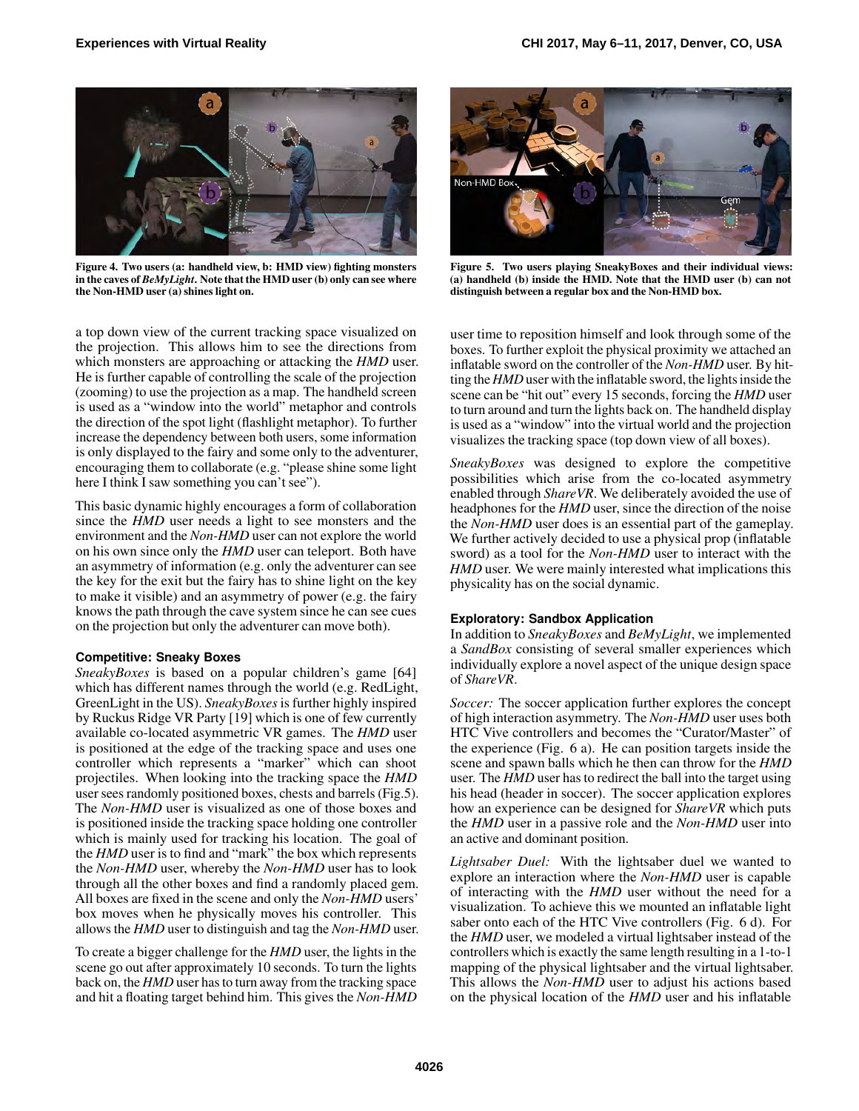

Figure 4. Two users (a: handheld view, b: HMD view) fighting monsters in the caves of *BeMyLight*. Note that the HMD user (b) only can see where the Non-HMD user (a) shines light on.

<span id="page-5-0"></span>a top down view of the current tracking space visualized on the projection. This allows him to see the directions from which monsters are approaching or attacking the *HMD* user. He is further capable of controlling the scale of the projection (zooming) to use the projection as a map. The handheld screen is used as a "window into the world" metaphor and controls the direction of the spot light (flashlight metaphor). To further increase the dependency between both users, some information is only displayed to the fairy and some only to the adventurer, encouraging them to collaborate (e.g. "please shine some light here I think I saw something you can't see").

This basic dynamic highly encourages a form of collaboration since the *HMD* user needs a light to see monsters and the environment and the *Non-HMD* user can not explore the world on his own since only the *HMD* user can teleport. Both have an asymmetry of information (e.g. only the adventurer can see the key for the exit but the fairy has to shine light on the key to make it visible) and an asymmetry of power (e.g. the fairy knows the path through the cave system since he can see cues on the projection but only the adventurer can move both).

## **Competitive: Sneaky Boxes**

*SneakyBoxes* is based on a popular children's game [\[64\]](#page-12-18) which has different names through the world (e.g. RedLight, GreenLight in the US). *SneakyBoxes* is further highly inspired by Ruckus Ridge VR Party [\[19\]](#page-10-17) which is one of few currently available co-located asymmetric VR games. The *HMD* user is positioned at the edge of the tracking space and uses one controller which represents a "marker" which can shoot projectiles. When looking into the tracking space the *HMD* user sees randomly positioned boxes, chests and barrels (Fig[.5\)](#page-5-1). The *Non-HMD* user is visualized as one of those boxes and is positioned inside the tracking space holding one controller which is mainly used for tracking his location. The goal of the *HMD* user is to find and "mark" the box which represents the *Non-HMD* user, whereby the *Non-HMD* user has to look through all the other boxes and find a randomly placed gem. All boxes are fixed in the scene and only the *Non-HMD* users' box moves when he physically moves his controller. This allows the *HMD* user to distinguish and tag the *Non-HMD* user.

To create a bigger challenge for the *HMD* user, the lights in the scene go out after approximately 10 seconds. To turn the lights back on, the *HMD* user has to turn away from the tracking space and hit a floating target behind him. This gives the *Non-HMD*



Figure 5. Two users playing SneakyBoxes and their individual views: (a) handheld (b) inside the HMD. Note that the HMD user (b) can not distinguish between a regular box and the Non-HMD box.

<span id="page-5-1"></span>user time to reposition himself and look through some of the boxes. To further exploit the physical proximity we attached an inflatable sword on the controller of the *Non-HMD* user. By hitting the *HMD* user with the inflatable sword, the lights inside the scene can be "hit out" every 15 seconds, forcing the *HMD* user to turn around and turn the lights back on. The handheld display is used as a "window" into the virtual world and the projection visualizes the tracking space (top down view of all boxes).

*SneakyBoxes* was designed to explore the competitive possibilities which arise from the co-located asymmetry enabled through *ShareVR*. We deliberately avoided the use of headphones for the *HMD* user, since the direction of the noise the *Non-HMD* user does is an essential part of the gameplay. We further actively decided to use a physical prop (inflatable sword) as a tool for the *Non-HMD* user to interact with the *HMD* user. We were mainly interested what implications this physicality has on the social dynamic.

## **Exploratory: Sandbox Application**

In addition to *SneakyBoxes* and *BeMyLight*, we implemented a *SandBox* consisting of several smaller experiences which individually explore a novel aspect of the unique design space of *ShareVR*.

*Soccer:* The soccer application further explores the concept of high interaction asymmetry. The *Non-HMD* user uses both HTC Vive controllers and becomes the "Curator/Master" of the experience (Fig. [6](#page-6-0) a). He can position targets inside the scene and spawn balls which he then can throw for the *HMD* user. The *HMD* user has to redirect the ball into the target using his head (header in soccer). The soccer application explores how an experience can be designed for *ShareVR* which puts the *HMD* user in a passive role and the *Non-HMD* user into an active and dominant position.

*Lightsaber Duel:* With the lightsaber duel we wanted to explore an interaction where the *Non-HMD* user is capable of interacting with the *HMD* user without the need for a visualization. To achieve this we mounted an inflatable light saber onto each of the HTC Vive controllers (Fig. [6](#page-6-0) d). For the *HMD* user, we modeled a virtual lightsaber instead of the controllers which is exactly the same length resulting in a 1-to-1 mapping of the physical lightsaber and the virtual lightsaber. This allows the *Non-HMD* user to adjust his actions based on the physical location of the *HMD* user and his inflatable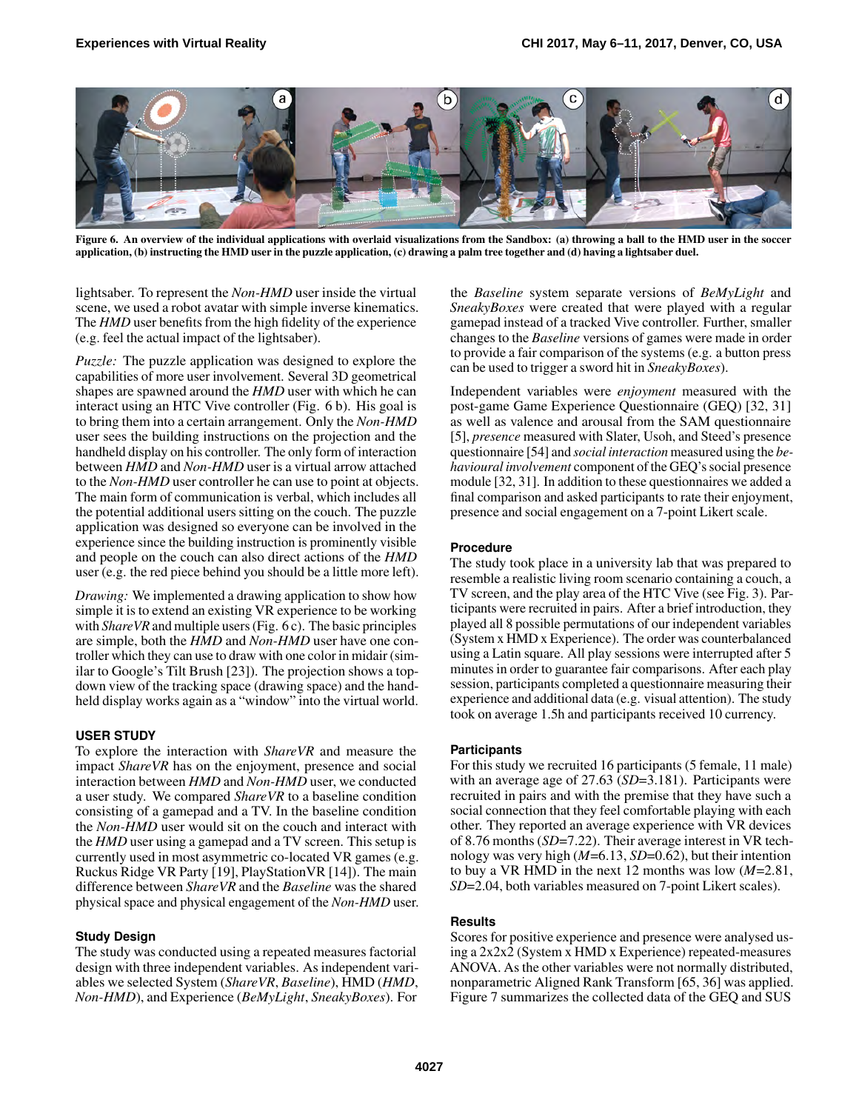

Figure 6. An overview of the individual applications with overlaid visualizations from the Sandbox: (a) throwing a ball to the HMD user in the soccer application, (b) instructing the HMD user in the puzzle application, (c) drawing a palm tree together and (d) having a lightsaber duel.

<span id="page-6-0"></span>lightsaber. To represent the *Non-HMD* user inside the virtual scene, we used a robot avatar with simple inverse kinematics. The *HMD* user benefits from the high fidelity of the experience (e.g. feel the actual impact of the lightsaber).

*Puzzle:* The puzzle application was designed to explore the capabilities of more user involvement. Several 3D geometrical shapes are spawned around the *HMD* user with which he can interact using an HTC Vive controller (Fig. [6](#page-6-0) b). His goal is to bring them into a certain arrangement. Only the *Non-HMD* user sees the building instructions on the projection and the handheld display on his controller. The only form of interaction between *HMD* and *Non-HMD* user is a virtual arrow attached to the *Non-HMD* user controller he can use to point at objects. The main form of communication is verbal, which includes all the potential additional users sitting on the couch. The puzzle application was designed so everyone can be involved in the experience since the building instruction is prominently visible and people on the couch can also direct actions of the *HMD* user (e.g. the red piece behind you should be a little more left).

*Drawing:* We implemented a drawing application to show how simple it is to extend an existing VR experience to be working with *ShareVR* and multiple users (Fig. [6](#page-6-0) c). The basic principles are simple, both the *HMD* and *Non-HMD* user have one controller which they can use to draw with one color in midair (similar to Google's Tilt Brush [\[23\]](#page-10-20)). The projection shows a topdown view of the tracking space (drawing space) and the handheld display works again as a "window" into the virtual world.

## **USER STUDY**

To explore the interaction with *ShareVR* and measure the impact *ShareVR* has on the enjoyment, presence and social interaction between *HMD* and *Non-HMD* user, we conducted a user study. We compared *ShareVR* to a baseline condition consisting of a gamepad and a TV. In the baseline condition the *Non-HMD* user would sit on the couch and interact with the *HMD* user using a gamepad and a TV screen. This setup is currently used in most asymmetric co-located VR games (e.g. Ruckus Ridge VR Party [\[19\]](#page-10-17), PlayStationVR [\[14\]](#page-10-21)). The main difference between *ShareVR* and the *Baseline* was the shared physical space and physical engagement of the *Non-HMD* user.

## **Study Design**

The study was conducted using a repeated measures factorial design with three independent variables. As independent variables we selected System (*ShareVR*, *Baseline*), HMD (*HMD*, *Non-HMD*), and Experience (*BeMyLight*, *SneakyBoxes*). For the *Baseline* system separate versions of *BeMyLight* and *SneakyBoxes* were created that were played with a regular gamepad instead of a tracked Vive controller. Further, smaller changes to the *Baseline* versions of games were made in order to provide a fair comparison of the systems (e.g. a button press can be used to trigger a sword hit in *SneakyBoxes*).

Independent variables were *enjoyment* measured with the post-game Game Experience Questionnaire (GEQ) [\[32,](#page-11-15) [31\]](#page-11-16) as well as valence and arousal from the SAM questionnaire [\[5\]](#page-10-22), *presence* measured with Slater, Usoh, and Steed's presence questionnaire [\[54\]](#page-12-19) and *social interaction* measured using the *behavioural involvement* component of the GEQ's social presence module [\[32,](#page-11-15) [31\]](#page-11-16). In addition to these questionnaires we added a final comparison and asked participants to rate their enjoyment, presence and social engagement on a 7-point Likert scale.

## **Procedure**

The study took place in a university lab that was prepared to resemble a realistic living room scenario containing a couch, a TV screen, and the play area of the HTC Vive (see Fig. [3\)](#page-4-0). Participants were recruited in pairs. After a brief introduction, they played all 8 possible permutations of our independent variables (System x HMD x Experience). The order was counterbalanced using a Latin square. All play sessions were interrupted after 5 minutes in order to guarantee fair comparisons. After each play session, participants completed a questionnaire measuring their experience and additional data (e.g. visual attention). The study took on average 1.5h and participants received 10 currency.

## **Participants**

For this study we recruited 16 participants (5 female, 11 male) with an average age of 27.63 (*SD*=3.181). Participants were recruited in pairs and with the premise that they have such a social connection that they feel comfortable playing with each other. They reported an average experience with VR devices of 8.76 months (*SD*=7.22). Their average interest in VR technology was very high (*M*=6.13, *SD*=0.62), but their intention to buy a VR HMD in the next 12 months was low (*M*=2.81, *SD*=2.04, both variables measured on 7-point Likert scales).

## **Results**

Scores for positive experience and presence were analysed using a 2x2x2 (System x HMD x Experience) repeated-measures ANOVA. As the other variables were not normally distributed, nonparametric Aligned Rank Transform [\[65,](#page-12-20) [36\]](#page-11-17) was applied. Figure [7](#page-7-0) summarizes the collected data of the GEQ and SUS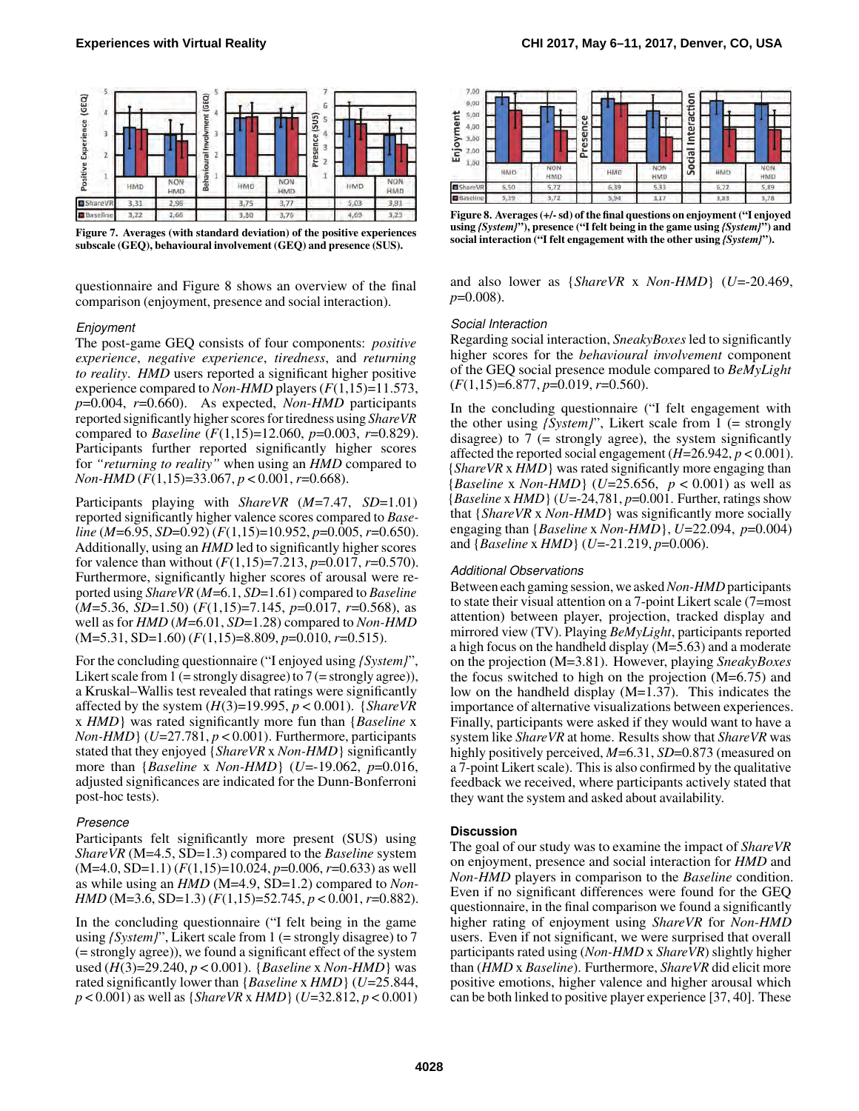

<span id="page-7-0"></span>Figure 7. Averages (with standard deviation) of the positive experiences subscale (GEQ), behavioural involvement (GEQ) and presence (SUS).

questionnaire and Figure [8](#page-7-1) shows an overview of the final comparison (enjoyment, presence and social interaction).

#### *Enjoyment*

The post-game GEQ consists of four components: *positive experience*, *negative experience*, *tiredness*, and *returning to reality*. *HMD* users reported a significant higher positive experience compared to *Non-HMD* players (*F*(1,15)=11.573, *p*=0.004, *r*=0.660). As expected, *Non-HMD* participants reported significantly higher scores for tiredness using *ShareVR* compared to *Baseline* (*F*(1,15)=12.060, *p*=0.003, *r*=0.829). Participants further reported significantly higher scores for *"returning to reality"* when using an *HMD* compared to *Non-HMD* (*F*(1,15)=33.067, *p* < 0.001, *r*=0.668).

Participants playing with *ShareVR* (*M*=7.47, *SD*=1.01) reported significantly higher valence scores compared to *Baseline* (*M*=6.95, *SD*=0.92) (*F*(1,15)=10.952, *p*=0.005, *r*=0.650). Additionally, using an *HMD* led to significantly higher scores for valence than without (*F*(1,15)=7.213, *p*=0.017, *r*=0.570). Furthermore, significantly higher scores of arousal were reported using *ShareVR* (*M*=6.1, *SD*=1.61) compared to *Baseline* (*M*=5.36, *SD*=1.50) (*F*(1,15)=7.145, *p*=0.017, *r*=0.568), as well as for *HMD* (*M*=6.01, *SD*=1.28) compared to *Non-HMD* (M=5.31, SD=1.60) (*F*(1,15)=8.809, *p*=0.010, *r*=0.515).

For the concluding questionnaire ("I enjoyed using *{System}*", Likert scale from  $1$  (= strongly disagree) to  $7$  (= strongly agree)), a Kruskal–Wallis test revealed that ratings were significantly affected by the system (*H*(3)=19.995, *p* < 0.001). {*ShareVR* x *HMD*} was rated significantly more fun than {*Baseline* x *Non-HMD*} (*U*=27.781, *p* < 0.001). Furthermore, participants stated that they enjoyed {*ShareVR* x *Non-HMD*} significantly more than {*Baseline* x *Non-HMD*} (*U*=-19.062, *p*=0.016, adjusted significances are indicated for the Dunn-Bonferroni post-hoc tests).

#### *Presence*

Participants felt significantly more present (SUS) using *ShareVR* (M=4.5, SD=1.3) compared to the *Baseline* system (M=4.0, SD=1.1) (*F*(1,15)=10.024, *p*=0.006, *r*=0.633) as well as while using an *HMD* (M=4.9, SD=1.2) compared to *Non-HMD* (M=3.6, SD=1.3) (*F*(1,15)=52.745, *p* < 0.001, *r*=0.882).

In the concluding questionnaire ("I felt being in the game using *{System}*", Likert scale from 1 (= strongly disagree) to 7 (= strongly agree)), we found a significant effect of the system used (*H*(3)=29.240, *p* < 0.001). {*Baseline* x *Non-HMD*} was rated significantly lower than {*Baseline* x *HMD*} (*U*=25.844, *p* < 0.001) as well as {*ShareVR* x *HMD*} (*U*=32.812, *p* < 0.001)



<span id="page-7-1"></span>Figure 8. Averages (+/- sd) of the final questions on enjoyment ("I enjoyed using *{System}*"), presence ("I felt being in the game using *{System}*") and social interaction ("I felt engagement with the other using *{System}*").

and also lower as {*ShareVR* x *Non-HMD*} (*U*=-20.469, *p*=0.008).

#### *Social Interaction*

Regarding social interaction, *SneakyBoxes* led to significantly higher scores for the *behavioural involvement* component of the GEQ social presence module compared to *BeMyLight* (*F*(1,15)=6.877, *p*=0.019, *r*=0.560).

In the concluding questionnaire ("I felt engagement with the other using *{System}*", Likert scale from 1 (= strongly disagree) to  $7$  (= strongly agree), the system significantly affected the reported social engagement (*H*=26.942, *p* < 0.001). {*ShareVR* x *HMD*} was rated significantly more engaging than {*Baseline* x *Non-HMD*} (*U*=25.656, *p* < 0.001) as well as {*Baseline* x *HMD*} (*U*=-24,781, *p*=0.001. Further, ratings show that {*ShareVR* x *Non-HMD*} was significantly more socially engaging than {*Baseline* x *Non-HMD*}, *U*=22.094, *p*=0.004) and {*Baseline* x *HMD*} (*U*=-21.219, *p*=0.006).

#### *Additional Observations*

Between each gaming session, we asked*Non-HMD* participants to state their visual attention on a 7-point Likert scale (7=most attention) between player, projection, tracked display and mirrored view (TV). Playing *BeMyLight*, participants reported a high focus on the handheld display (M=5.63) and a moderate on the projection (M=3.81). However, playing *SneakyBoxes* the focus switched to high on the projection (M=6.75) and low on the handheld display (M=1.37). This indicates the importance of alternative visualizations between experiences. Finally, participants were asked if they would want to have a system like *ShareVR* at home. Results show that *ShareVR* was highly positively perceived, *M*=6.31, *SD*=0.873 (measured on a 7-point Likert scale). This is also confirmed by the qualitative feedback we received, where participants actively stated that they want the system and asked about availability.

## **Discussion**

The goal of our study was to examine the impact of *ShareVR* on enjoyment, presence and social interaction for *HMD* and *Non-HMD* players in comparison to the *Baseline* condition. Even if no significant differences were found for the GEQ questionnaire, in the final comparison we found a significantly higher rating of enjoyment using *ShareVR* for *Non-HMD* users. Even if not significant, we were surprised that overall participants rated using (*Non-HMD* x *ShareVR*) slightly higher than (*HMD* x *Baseline*). Furthermore, *ShareVR* did elicit more positive emotions, higher valence and higher arousal which can be both linked to positive player experience [\[37,](#page-11-18) [40\]](#page-11-19). These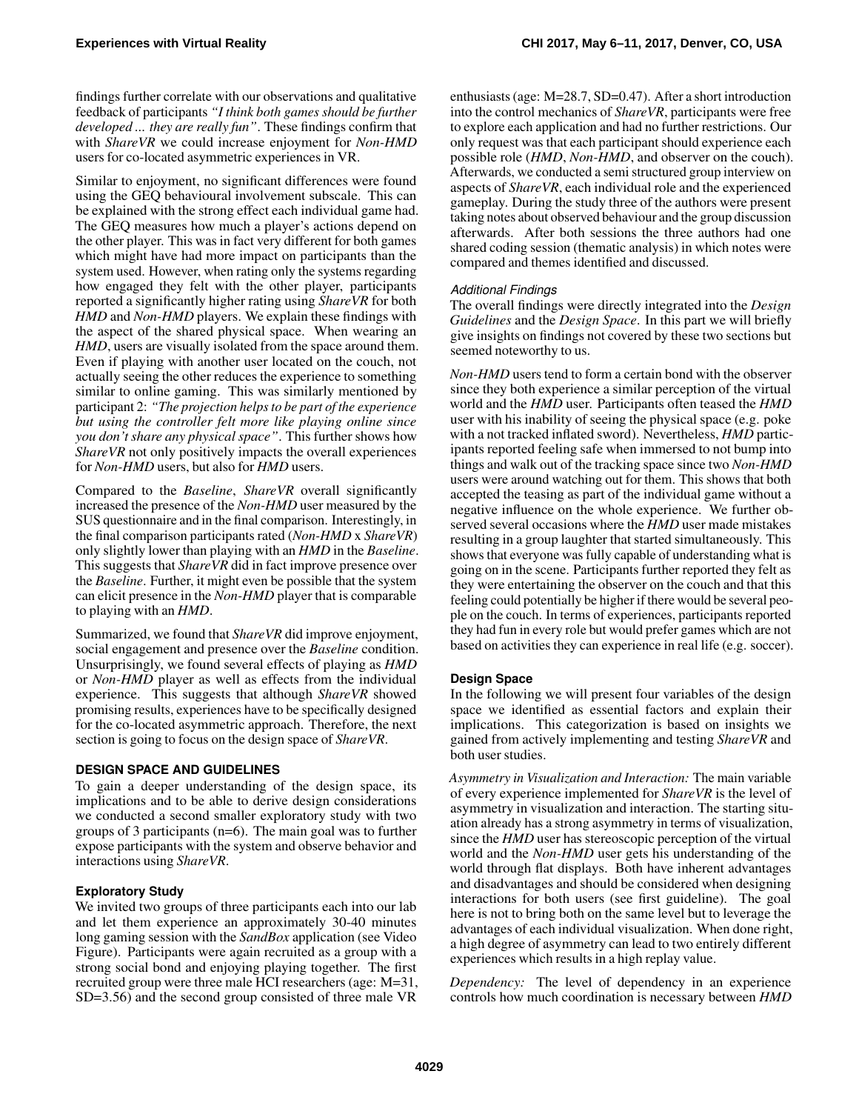findings further correlate with our observations and qualitative feedback of participants *"I think both games should be further developed ... they are really fun"*. These findings confirm that with *ShareVR* we could increase enjoyment for *Non-HMD* users for co-located asymmetric experiences in VR.

Similar to enjoyment, no significant differences were found using the GEQ behavioural involvement subscale. This can be explained with the strong effect each individual game had. The GEQ measures how much a player's actions depend on the other player. This was in fact very different for both games which might have had more impact on participants than the system used. However, when rating only the systems regarding how engaged they felt with the other player, participants reported a significantly higher rating using *ShareVR* for both *HMD* and *Non-HMD* players. We explain these findings with the aspect of the shared physical space. When wearing an *HMD*, users are visually isolated from the space around them. Even if playing with another user located on the couch, not actually seeing the other reduces the experience to something similar to online gaming. This was similarly mentioned by participant 2: *"The projection helps to be part of the experience but using the controller felt more like playing online since you don't share any physical space"*. This further shows how *ShareVR* not only positively impacts the overall experiences for *Non-HMD* users, but also for *HMD* users.

Compared to the *Baseline*, *ShareVR* overall significantly increased the presence of the *Non-HMD* user measured by the SUS questionnaire and in the final comparison. Interestingly, in the final comparison participants rated (*Non-HMD* x *ShareVR*) only slightly lower than playing with an *HMD* in the *Baseline*. This suggests that *ShareVR* did in fact improve presence over the *Baseline*. Further, it might even be possible that the system can elicit presence in the *Non-HMD* player that is comparable to playing with an *HMD*.

Summarized, we found that *ShareVR* did improve enjoyment, social engagement and presence over the *Baseline* condition. Unsurprisingly, we found several effects of playing as *HMD* or *Non-HMD* player as well as effects from the individual experience. This suggests that although *ShareVR* showed promising results, experiences have to be specifically designed for the co-located asymmetric approach. Therefore, the next section is going to focus on the design space of *ShareVR*.

## **DESIGN SPACE AND GUIDELINES**

To gain a deeper understanding of the design space, its implications and to be able to derive design considerations we conducted a second smaller exploratory study with two groups of 3 participants (n=6). The main goal was to further expose participants with the system and observe behavior and interactions using *ShareVR*.

## **Exploratory Study**

We invited two groups of three participants each into our lab and let them experience an approximately 30-40 minutes long gaming session with the *SandBox* application (see Video Figure). Participants were again recruited as a group with a strong social bond and enjoying playing together. The first recruited group were three male HCI researchers (age: M=31, SD=3.56) and the second group consisted of three male VR

enthusiasts (age: M=28.7, SD=0.47). After a short introduction into the control mechanics of *ShareVR*, participants were free to explore each application and had no further restrictions. Our only request was that each participant should experience each possible role (*HMD*, *Non-HMD*, and observer on the couch). Afterwards, we conducted a semi structured group interview on aspects of *ShareVR*, each individual role and the experienced gameplay. During the study three of the authors were present taking notes about observed behaviour and the group discussion afterwards. After both sessions the three authors had one shared coding session (thematic analysis) in which notes were compared and themes identified and discussed.

## *Additional Findings*

The overall findings were directly integrated into the *Design Guidelines* and the *Design Space*. In this part we will briefly give insights on findings not covered by these two sections but seemed noteworthy to us.

*Non-HMD* users tend to form a certain bond with the observer since they both experience a similar perception of the virtual world and the *HMD* user. Participants often teased the *HMD* user with his inability of seeing the physical space (e.g. poke with a not tracked inflated sword). Nevertheless, *HMD* participants reported feeling safe when immersed to not bump into things and walk out of the tracking space since two *Non-HMD* users were around watching out for them. This shows that both accepted the teasing as part of the individual game without a negative influence on the whole experience. We further observed several occasions where the *HMD* user made mistakes resulting in a group laughter that started simultaneously. This shows that everyone was fully capable of understanding what is going on in the scene. Participants further reported they felt as they were entertaining the observer on the couch and that this feeling could potentially be higher if there would be several people on the couch. In terms of experiences, participants reported they had fun in every role but would prefer games which are not based on activities they can experience in real life (e.g. soccer).

## **Design Space**

In the following we will present four variables of the design space we identified as essential factors and explain their implications. This categorization is based on insights we gained from actively implementing and testing *ShareVR* and both user studies.

*Asymmetry in Visualization and Interaction:* The main variable of every experience implemented for *ShareVR* is the level of asymmetry in visualization and interaction. The starting situation already has a strong asymmetry in terms of visualization, since the *HMD* user has stereoscopic perception of the virtual world and the *Non-HMD* user gets his understanding of the world through flat displays. Both have inherent advantages and disadvantages and should be considered when designing interactions for both users (see first guideline). The goal here is not to bring both on the same level but to leverage the advantages of each individual visualization. When done right, a high degree of asymmetry can lead to two entirely different experiences which results in a high replay value.

*Dependency:* The level of dependency in an experience controls how much coordination is necessary between *HMD*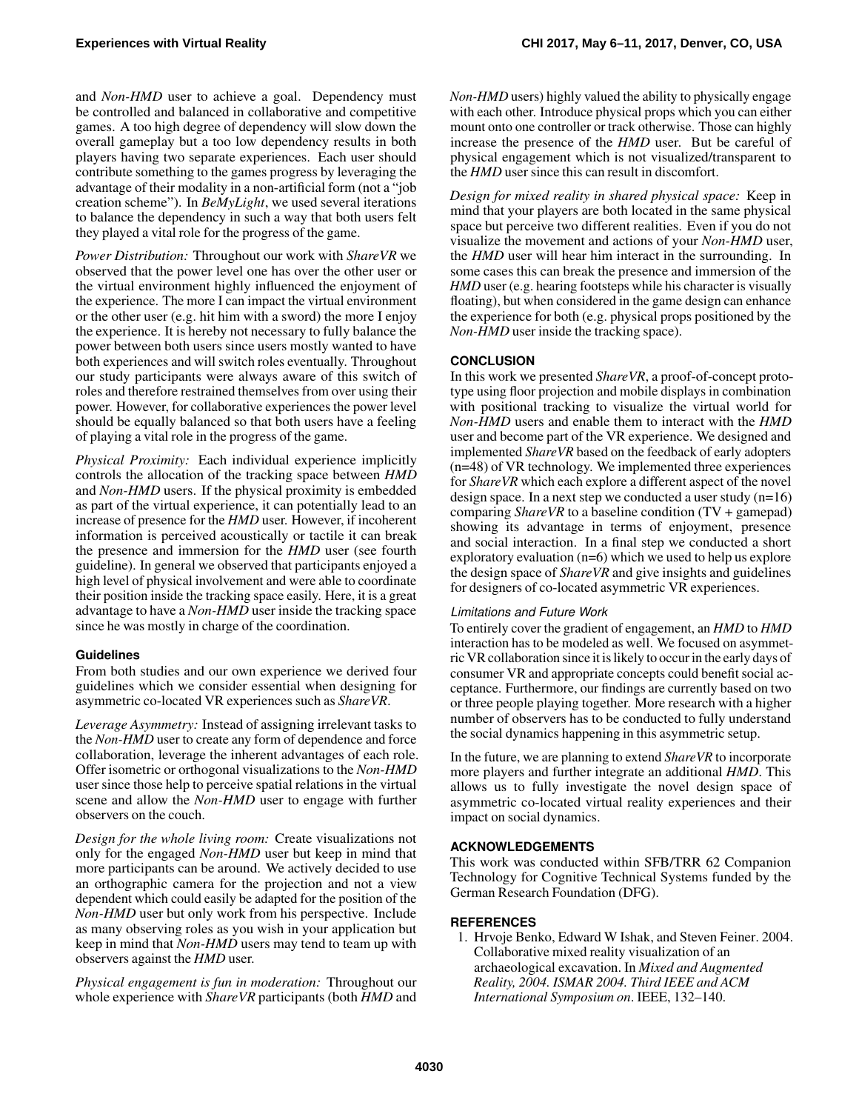and *Non-HMD* user to achieve a goal. Dependency must be controlled and balanced in collaborative and competitive games. A too high degree of dependency will slow down the overall gameplay but a too low dependency results in both players having two separate experiences. Each user should contribute something to the games progress by leveraging the advantage of their modality in a non-artificial form (not a "job creation scheme"). In *BeMyLight*, we used several iterations to balance the dependency in such a way that both users felt they played a vital role for the progress of the game.

*Power Distribution:* Throughout our work with *ShareVR* we observed that the power level one has over the other user or the virtual environment highly influenced the enjoyment of the experience. The more I can impact the virtual environment or the other user (e.g. hit him with a sword) the more I enjoy the experience. It is hereby not necessary to fully balance the power between both users since users mostly wanted to have both experiences and will switch roles eventually. Throughout our study participants were always aware of this switch of roles and therefore restrained themselves from over using their power. However, for collaborative experiences the power level should be equally balanced so that both users have a feeling of playing a vital role in the progress of the game.

*Physical Proximity:* Each individual experience implicitly controls the allocation of the tracking space between *HMD* and *Non-HMD* users. If the physical proximity is embedded as part of the virtual experience, it can potentially lead to an increase of presence for the *HMD* user. However, if incoherent information is perceived acoustically or tactile it can break the presence and immersion for the *HMD* user (see fourth guideline). In general we observed that participants enjoyed a high level of physical involvement and were able to coordinate their position inside the tracking space easily. Here, it is a great advantage to have a *Non-HMD* user inside the tracking space since he was mostly in charge of the coordination.

## **Guidelines**

From both studies and our own experience we derived four guidelines which we consider essential when designing for asymmetric co-located VR experiences such as *ShareVR*.

*Leverage Asymmetry:* Instead of assigning irrelevant tasks to the *Non-HMD* user to create any form of dependence and force collaboration, leverage the inherent advantages of each role. Offer isometric or orthogonal visualizations to the *Non-HMD* user since those help to perceive spatial relations in the virtual scene and allow the *Non-HMD* user to engage with further observers on the couch.

*Design for the whole living room:* Create visualizations not only for the engaged *Non-HMD* user but keep in mind that more participants can be around. We actively decided to use an orthographic camera for the projection and not a view dependent which could easily be adapted for the position of the *Non-HMD* user but only work from his perspective. Include as many observing roles as you wish in your application but keep in mind that *Non-HMD* users may tend to team up with observers against the *HMD* user.

*Physical engagement is fun in moderation:* Throughout our whole experience with *ShareVR* participants (both *HMD* and

*Non-HMD* users) highly valued the ability to physically engage with each other. Introduce physical props which you can either mount onto one controller or track otherwise. Those can highly increase the presence of the *HMD* user. But be careful of physical engagement which is not visualized/transparent to the *HMD* user since this can result in discomfort.

*Design for mixed reality in shared physical space:* Keep in mind that your players are both located in the same physical space but perceive two different realities. Even if you do not visualize the movement and actions of your *Non-HMD* user, the *HMD* user will hear him interact in the surrounding. In some cases this can break the presence and immersion of the *HMD* user (e.g. hearing footsteps while his character is visually floating), but when considered in the game design can enhance the experience for both (e.g. physical props positioned by the *Non-HMD* user inside the tracking space).

## **CONCLUSION**

In this work we presented *ShareVR*, a proof-of-concept prototype using floor projection and mobile displays in combination with positional tracking to visualize the virtual world for *Non-HMD* users and enable them to interact with the *HMD* user and become part of the VR experience. We designed and implemented *ShareVR* based on the feedback of early adopters (n=48) of VR technology. We implemented three experiences for *ShareVR* which each explore a different aspect of the novel design space. In a next step we conducted a user study (n=16) comparing *ShareVR* to a baseline condition (TV + gamepad) showing its advantage in terms of enjoyment, presence and social interaction. In a final step we conducted a short exploratory evaluation (n=6) which we used to help us explore the design space of *ShareVR* and give insights and guidelines for designers of co-located asymmetric VR experiences.

## *Limitations and Future Work*

To entirely cover the gradient of engagement, an *HMD* to *HMD* interaction has to be modeled as well. We focused on asymmetric VR collaboration since it is likely to occur in the early days of consumer VR and appropriate concepts could benefit social acceptance. Furthermore, our findings are currently based on two or three people playing together. More research with a higher number of observers has to be conducted to fully understand the social dynamics happening in this asymmetric setup.

In the future, we are planning to extend *ShareVR* to incorporate more players and further integrate an additional *HMD*. This allows us to fully investigate the novel design space of asymmetric co-located virtual reality experiences and their impact on social dynamics.

## **ACKNOWLEDGEMENTS**

This work was conducted within SFB/TRR 62 Companion Technology for Cognitive Technical Systems funded by the German Research Foundation (DFG).

## <span id="page-9-0"></span>**REFERENCES**

1. Hrvoje Benko, Edward W Ishak, and Steven Feiner. 2004. Collaborative mixed reality visualization of an archaeological excavation. In *Mixed and Augmented Reality, 2004. ISMAR 2004. Third IEEE and ACM International Symposium on*. IEEE, 132–140.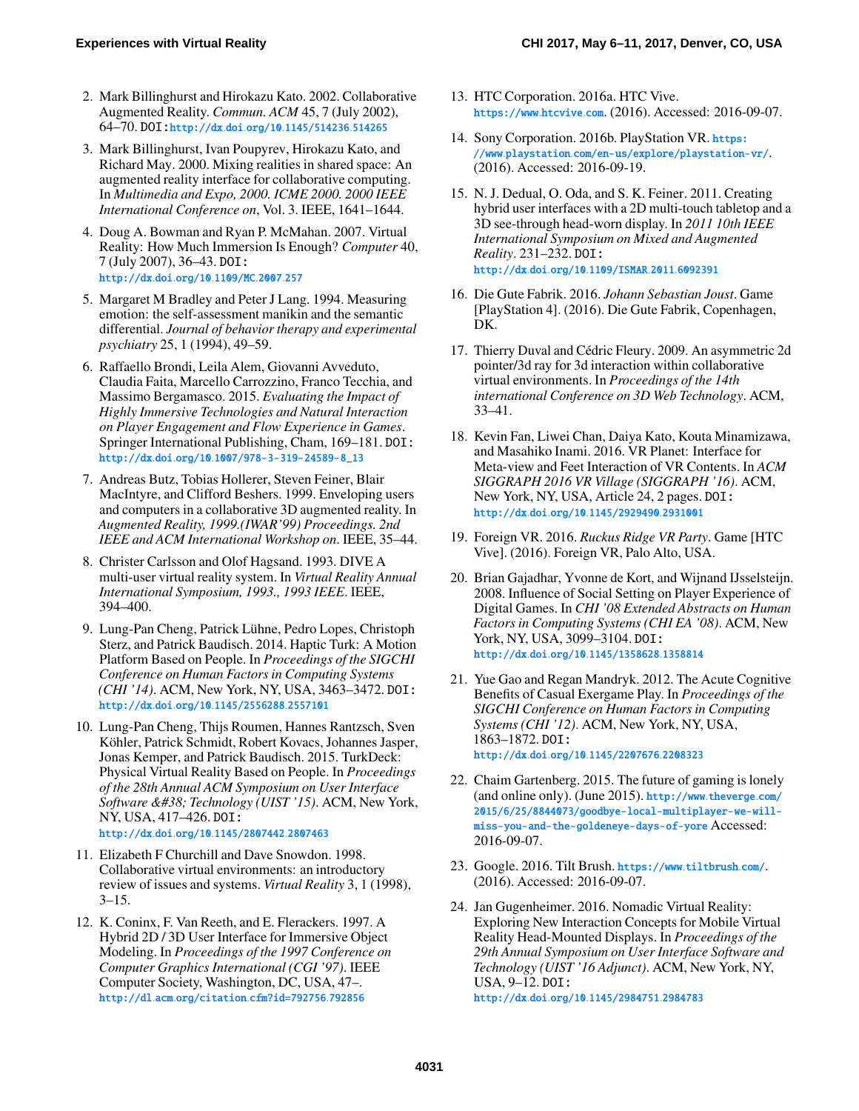- <span id="page-10-5"></span>2. Mark Billinghurst and Hirokazu Kato. 2002. Collaborative Augmented Reality. *Commun. ACM* 45, 7 (July 2002), 64–70. DOI:http://dx.doi.org/10.[1145/514236](http://dx.doi.org/10.1145/514236.514265).514265
- <span id="page-10-7"></span>3. Mark Billinghurst, Ivan Poupyrev, Hirokazu Kato, and Richard May. 2000. Mixing realities in shared space: An augmented reality interface for collaborative computing. In *Multimedia and Expo, 2000. ICME 2000. 2000 IEEE International Conference on*, Vol. 3. IEEE, 1641–1644.
- <span id="page-10-1"></span>4. Doug A. Bowman and Ryan P. McMahan. 2007. Virtual Reality: How Much Immersion Is Enough? *Computer* 40, 7 (July 2007), 36–43. DOI: [http://dx](http://dx.doi.org/10.1109/MC.2007.257).doi.org/10.1109/MC.2007.257
- <span id="page-10-22"></span>5. Margaret M Bradley and Peter J Lang. 1994. Measuring emotion: the self-assessment manikin and the semantic differential. *Journal of behavior therapy and experimental psychiatry* 25, 1 (1994), 49–59.
- <span id="page-10-18"></span>6. Raffaello Brondi, Leila Alem, Giovanni Avveduto, Claudia Faita, Marcello Carrozzino, Franco Tecchia, and Massimo Bergamasco. 2015. *Evaluating the Impact of Highly Immersive Technologies and Natural Interaction on Player Engagement and Flow Experience in Games*. Springer International Publishing, Cham, 169–181. DOI: http://dx.doi.org/10.[1007/978-3-319-24589-8\\_13](http://dx.doi.org/10.1007/978-3-319-24589-8_13)
- <span id="page-10-6"></span>7. Andreas Butz, Tobias Hollerer, Steven Feiner, Blair MacIntyre, and Clifford Beshers. 1999. Enveloping users and computers in a collaborative 3D augmented reality. In *Augmented Reality, 1999.(IWAR'99) Proceedings. 2nd IEEE and ACM International Workshop on*. IEEE, 35–44.
- <span id="page-10-9"></span>8. Christer Carlsson and Olof Hagsand. 1993. DIVE A multi-user virtual reality system. In *Virtual Reality Annual International Symposium, 1993., 1993 IEEE*. IEEE, 394–400.
- <span id="page-10-13"></span>9. Lung-Pan Cheng, Patrick Lühne, Pedro Lopes, Christoph Sterz, and Patrick Baudisch. 2014. Haptic Turk: A Motion Platform Based on People. In *Proceedings of the SIGCHI Conference on Human Factors in Computing Systems (CHI '14)*. ACM, New York, NY, USA, 3463–3472. DOI: http://dx.doi.org/10.[1145/2556288](http://dx.doi.org/10.1145/2556288.2557101).2557101
- <span id="page-10-14"></span>10. Lung-Pan Cheng, Thijs Roumen, Hannes Rantzsch, Sven Köhler, Patrick Schmidt, Robert Kovacs, Johannes Jasper, Jonas Kemper, and Patrick Baudisch. 2015. TurkDeck: Physical Virtual Reality Based on People. In *Proceedings of the 28th Annual ACM Symposium on User Interface Software & Technology (UIST '15)*. ACM, New York, NY, USA, 417–426. DOI: http://dx.doi.org/10.[1145/2807442](http://dx.doi.org/10.1145/2807442.2807463).2807463
- <span id="page-10-8"></span>11. Elizabeth F Churchill and Dave Snowdon. 1998. Collaborative virtual environments: an introductory review of issues and systems. *Virtual Reality* 3, 1 (1998), 3–15.
- <span id="page-10-10"></span>12. K. Coninx, F. Van Reeth, and E. Flerackers. 1997. A Hybrid 2D / 3D User Interface for Immersive Object Modeling. In *Proceedings of the 1997 Conference on Computer Graphics International (CGI '97)*. IEEE Computer Society, Washington, DC, USA, 47–. http://dl.acm.org/citation.[cfm?id=792756](http://dl.acm.org/citation.cfm?id=792756.792856).792856
- <span id="page-10-0"></span>13. HTC Corporation. 2016a. HTC Vive. [https://www](https://www.htcvive.com).htcvive.com. (2016). Accessed: 2016-09-07.
- <span id="page-10-21"></span>14. Sony Corporation. 2016b. PlayStation VR. [https:](https://www.playstation.com/en-us/explore/playstation-vr/) //www.playstation.[com/en-us/explore/playstation-vr/](https://www.playstation.com/en-us/explore/playstation-vr/). (2016). Accessed: 2016-09-19.
- <span id="page-10-12"></span>15. N. J. Dedual, O. Oda, and S. K. Feiner. 2011. Creating hybrid user interfaces with a 2D multi-touch tabletop and a 3D see-through head-worn display. In *2011 10th IEEE International Symposium on Mixed and Augmented Reality*. 231–232. DOI: http://dx.doi.org/10.[1109/ISMAR](http://dx.doi.org/10.1109/ISMAR.2011.6092391).2011.6092391
- <span id="page-10-19"></span>16. Die Gute Fabrik. 2016. *Johann Sebastian Joust*. Game [PlayStation 4]. (2016). Die Gute Fabrik, Copenhagen, DK.
- <span id="page-10-4"></span>17. Thierry Duval and Cédric Fleury. 2009. An asymmetric 2d pointer/3d ray for 3d interaction within collaborative virtual environments. In *Proceedings of the 14th international Conference on 3D Web Technology*. ACM, 33–41.
- <span id="page-10-11"></span>18. Kevin Fan, Liwei Chan, Daiya Kato, Kouta Minamizawa, and Masahiko Inami. 2016. VR Planet: Interface for Meta-view and Feet Interaction of VR Contents. In *ACM SIGGRAPH 2016 VR Village (SIGGRAPH '16)*. ACM, New York, NY, USA, Article 24, 2 pages. DOI: http://dx.doi.org/10.[1145/2929490](http://dx.doi.org/10.1145/2929490.2931001).2931001
- <span id="page-10-17"></span>19. Foreign VR. 2016. *Ruckus Ridge VR Party*. Game [HTC Vive]. (2016). Foreign VR, Palo Alto, USA.
- <span id="page-10-16"></span>20. Brian Gajadhar, Yvonne de Kort, and Wijnand IJsselsteijn. 2008. Influence of Social Setting on Player Experience of Digital Games. In *CHI '08 Extended Abstracts on Human Factors in Computing Systems (CHI EA '08)*. ACM, New York, NY, USA, 3099-3104. DOI: http://dx.doi.org/10.[1145/1358628](http://dx.doi.org/10.1145/1358628.1358814).1358814
- <span id="page-10-2"></span>21. Yue Gao and Regan Mandryk. 2012. The Acute Cognitive Benefits of Casual Exergame Play. In *Proceedings of the SIGCHI Conference on Human Factors in Computing Systems (CHI '12)*. ACM, New York, NY, USA, 1863–1872. DOI: http://dx.doi.org/10.[1145/2207676](http://dx.doi.org/10.1145/2207676.2208323).2208323
- <span id="page-10-15"></span>22. Chaim Gartenberg. 2015. The future of gaming is lonely (and online only). (June 2015). [http://www](http://www.theverge.com/2015/6/25/8844073/goodbye-local-multiplayer-we-will-miss-you-and-the-goldeneye-days-of-yore).theverge.com/ [2015/6/25/8844073/goodbye-local-multiplayer-we-will](http://www.theverge.com/2015/6/25/8844073/goodbye-local-multiplayer-we-will-miss-you-and-the-goldeneye-days-of-yore)[miss-you-and-the-goldeneye-days-of-yore](http://www.theverge.com/2015/6/25/8844073/goodbye-local-multiplayer-we-will-miss-you-and-the-goldeneye-days-of-yore) Accessed: 2016-09-07.
- <span id="page-10-20"></span>23. Google. 2016. Tilt Brush. [https://www](https://www.tiltbrush.com/).tiltbrush.com/. (2016). Accessed: 2016-09-07.
- <span id="page-10-3"></span>24. Jan Gugenheimer. 2016. Nomadic Virtual Reality: Exploring New Interaction Concepts for Mobile Virtual Reality Head-Mounted Displays. In *Proceedings of the 29th Annual Symposium on User Interface Software and Technology (UIST '16 Adjunct)*. ACM, New York, NY, USA, 9–12. DOI:

http://dx.doi.org/10.[1145/2984751](http://dx.doi.org/10.1145/2984751.2984783).2984783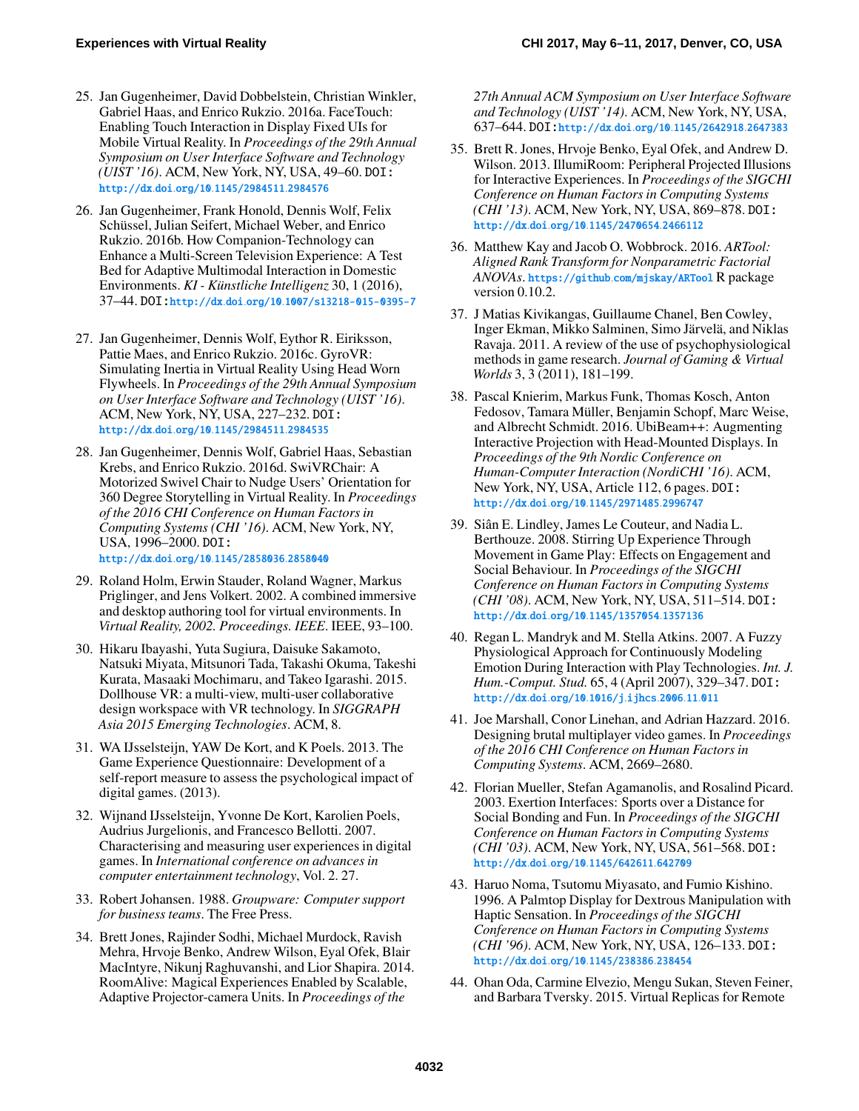- <span id="page-11-2"></span>25. Jan Gugenheimer, David Dobbelstein, Christian Winkler, Gabriel Haas, and Enrico Rukzio. 2016a. FaceTouch: Enabling Touch Interaction in Display Fixed UIs for Mobile Virtual Reality. In *Proceedings of the 29th Annual Symposium on User Interface Software and Technology (UIST '16)*. ACM, New York, NY, USA, 49–60. DOI: http://dx.doi.org/10.[1145/2984511](http://dx.doi.org/10.1145/2984511.2984576).2984576
- <span id="page-11-8"></span>26. Jan Gugenheimer, Frank Honold, Dennis Wolf, Felix Schüssel, Julian Seifert, Michael Weber, and Enrico Rukzio. 2016b. How Companion-Technology can Enhance a Multi-Screen Television Experience: A Test Bed for Adaptive Multimodal Interaction in Domestic Environments. *KI - Künstliche Intelligenz* 30, 1 (2016), 37–44. DOI:http://dx.doi.org/10.[1007/s13218-015-0395-7](http://dx.doi.org/10.1007/s13218-015-0395-7)
- <span id="page-11-12"></span>27. Jan Gugenheimer, Dennis Wolf, Eythor R. Eiriksson, Pattie Maes, and Enrico Rukzio. 2016c. GyroVR: Simulating Inertia in Virtual Reality Using Head Worn Flywheels. In *Proceedings of the 29th Annual Symposium on User Interface Software and Technology (UIST '16)*. ACM, New York, NY, USA, 227–232. DOI: http://dx.doi.org/10.[1145/2984511](http://dx.doi.org/10.1145/2984511.2984535).2984535
- <span id="page-11-13"></span>28. Jan Gugenheimer, Dennis Wolf, Gabriel Haas, Sebastian Krebs, and Enrico Rukzio. 2016d. SwiVRChair: A Motorized Swivel Chair to Nudge Users' Orientation for 360 Degree Storytelling in Virtual Reality. In *Proceedings of the 2016 CHI Conference on Human Factors in Computing Systems (CHI '16)*. ACM, New York, NY, USA, 1996–2000. DOI:

http://dx.doi.org/10.[1145/2858036](http://dx.doi.org/10.1145/2858036.2858040).2858040

- <span id="page-11-11"></span>29. Roland Holm, Erwin Stauder, Roland Wagner, Markus Priglinger, and Jens Volkert. 2002. A combined immersive and desktop authoring tool for virtual environments. In *Virtual Reality, 2002. Proceedings. IEEE*. IEEE, 93–100.
- <span id="page-11-3"></span>30. Hikaru Ibayashi, Yuta Sugiura, Daisuke Sakamoto, Natsuki Miyata, Mitsunori Tada, Takashi Okuma, Takeshi Kurata, Masaaki Mochimaru, and Takeo Igarashi. 2015. Dollhouse VR: a multi-view, multi-user collaborative design workspace with VR technology. In *SIGGRAPH Asia 2015 Emerging Technologies*. ACM, 8.
- <span id="page-11-16"></span>31. WA IJsselsteijn, YAW De Kort, and K Poels. 2013. The Game Experience Questionnaire: Development of a self-report measure to assess the psychological impact of digital games. (2013).
- <span id="page-11-15"></span>32. Wijnand IJsselsteijn, Yvonne De Kort, Karolien Poels, Audrius Jurgelionis, and Francesco Bellotti. 2007. Characterising and measuring user experiences in digital games. In *International conference on advances in computer entertainment technology*, Vol. 2. 27.
- <span id="page-11-9"></span>33. Robert Johansen. 1988. *Groupware: Computer support for business teams*. The Free Press.
- <span id="page-11-7"></span>34. Brett Jones, Rajinder Sodhi, Michael Murdock, Ravish Mehra, Hrvoje Benko, Andrew Wilson, Eyal Ofek, Blair MacIntyre, Nikunj Raghuvanshi, and Lior Shapira. 2014. RoomAlive: Magical Experiences Enabled by Scalable, Adaptive Projector-camera Units. In *Proceedings of the*

*27th Annual ACM Symposium on User Interface Software and Technology (UIST '14)*. ACM, New York, NY, USA, 637–644. DOI:http://dx.doi.org/10.[1145/2642918](http://dx.doi.org/10.1145/2642918.2647383).2647383

- <span id="page-11-6"></span>35. Brett R. Jones, Hrvoje Benko, Eyal Ofek, and Andrew D. Wilson. 2013. IllumiRoom: Peripheral Projected Illusions for Interactive Experiences. In *Proceedings of the SIGCHI Conference on Human Factors in Computing Systems (CHI '13)*. ACM, New York, NY, USA, 869–878. DOI: http://dx.doi.org/10.[1145/2470654](http://dx.doi.org/10.1145/2470654.2466112).2466112
- <span id="page-11-17"></span>36. Matthew Kay and Jacob O. Wobbrock. 2016. *ARTool: Aligned Rank Transform for Nonparametric Factorial ANOVAs*. https://github.[com/mjskay/ARTool](https://github.com/mjskay/ARTool) R package version 0.10.2.
- <span id="page-11-18"></span>37. J Matias Kivikangas, Guillaume Chanel, Ben Cowley, Inger Ekman, Mikko Salminen, Simo Järvelä, and Niklas Ravaja. 2011. A review of the use of psychophysiological methods in game research. *Journal of Gaming & Virtual Worlds* 3, 3 (2011), 181–199.
- <span id="page-11-4"></span>38. Pascal Knierim, Markus Funk, Thomas Kosch, Anton Fedosov, Tamara Müller, Benjamin Schopf, Marc Weise, and Albrecht Schmidt. 2016. UbiBeam++: Augmenting Interactive Projection with Head-Mounted Displays. In *Proceedings of the 9th Nordic Conference on Human-Computer Interaction (NordiCHI '16)*. ACM, New York, NY, USA, Article 112, 6 pages. DOI: http://dx.doi.org/10.[1145/2971485](http://dx.doi.org/10.1145/2971485.2996747).2996747
- <span id="page-11-0"></span>39. Siân E. Lindley, James Le Couteur, and Nadia L. Berthouze. 2008. Stirring Up Experience Through Movement in Game Play: Effects on Engagement and Social Behaviour. In *Proceedings of the SIGCHI Conference on Human Factors in Computing Systems (CHI '08)*. ACM, New York, NY, USA, 511–514. DOI: http://dx.doi.org/10.[1145/1357054](http://dx.doi.org/10.1145/1357054.1357136).1357136
- <span id="page-11-19"></span>40. Regan L. Mandryk and M. Stella Atkins. 2007. A Fuzzy Physiological Approach for Continuously Modeling Emotion During Interaction with Play Technologies. *Int. J. Hum.-Comput. Stud.* 65, 4 (April 2007), 329–347. DOI: [http://dx](http://dx.doi.org/10.1016/j.ijhcs.2006.11.011).doi.org/10.1016/j.ijhcs.2006.11.011
- <span id="page-11-14"></span>41. Joe Marshall, Conor Linehan, and Adrian Hazzard. 2016. Designing brutal multiplayer video games. In *Proceedings of the 2016 CHI Conference on Human Factors in Computing Systems*. ACM, 2669–2680.
- <span id="page-11-1"></span>42. Florian Mueller, Stefan Agamanolis, and Rosalind Picard. 2003. Exertion Interfaces: Sports over a Distance for Social Bonding and Fun. In *Proceedings of the SIGCHI Conference on Human Factors in Computing Systems (CHI '03)*. ACM, New York, NY, USA, 561–568. DOI: http://dx.doi.org/10.[1145/642611](http://dx.doi.org/10.1145/642611.642709).642709
- <span id="page-11-5"></span>43. Haruo Noma, Tsutomu Miyasato, and Fumio Kishino. 1996. A Palmtop Display for Dextrous Manipulation with Haptic Sensation. In *Proceedings of the SIGCHI Conference on Human Factors in Computing Systems (CHI '96)*. ACM, New York, NY, USA, 126–133. DOI: http://dx.doi.org/10.[1145/238386](http://dx.doi.org/10.1145/238386.238454).238454
- <span id="page-11-10"></span>44. Ohan Oda, Carmine Elvezio, Mengu Sukan, Steven Feiner, and Barbara Tversky. 2015. Virtual Replicas for Remote